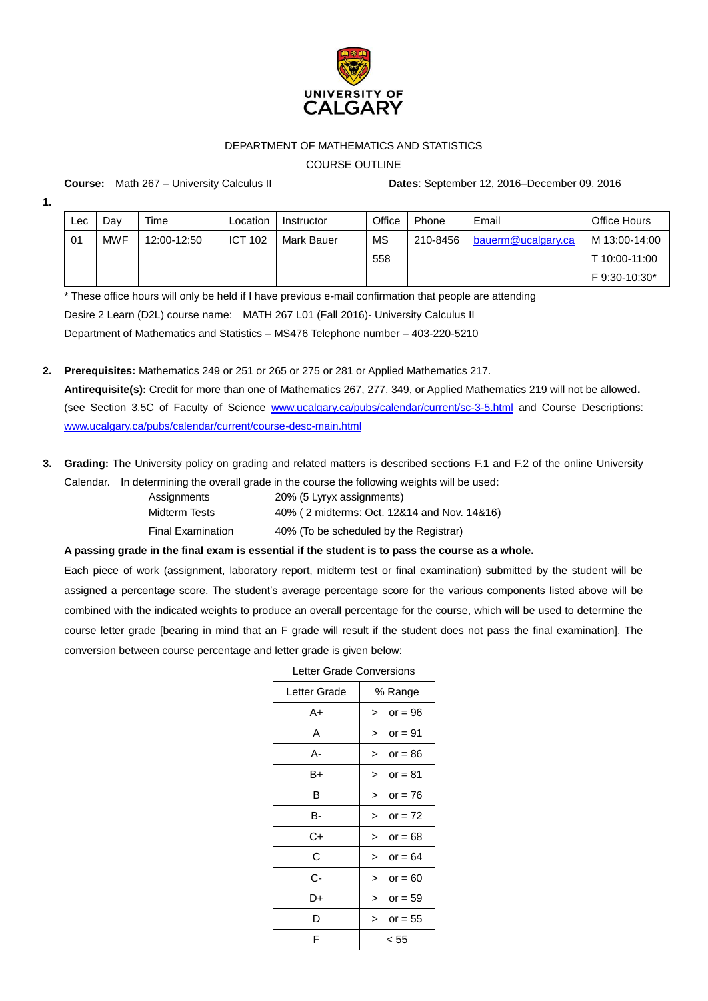

## DEPARTMENT OF MATHEMATICS AND STATISTICS

COURSE OUTLINE

**Course:** Math 267 – University Calculus II **Dates**: September 12, 2016–December 09, 2016

**1.**

| <b>Lec</b> | Dav        | Time        | Location       | Instructor | Office | Phone    | Email              | Office Hours  |
|------------|------------|-------------|----------------|------------|--------|----------|--------------------|---------------|
| 01         | <b>MWF</b> | 12:00-12:50 | <b>ICT 102</b> | Mark Bauer | MS     | 210-8456 | bauerm@ucalgary.ca | M 13:00-14:00 |
|            |            |             |                |            | 558    |          |                    | T 10:00-11:00 |
|            |            |             |                |            |        |          |                    | F 9:30-10:30* |

\* These office hours will only be held if I have previous e-mail confirmation that people are attending Desire 2 Learn (D2L) course name: MATH 267 L01 (Fall 2016)- University Calculus II Department of Mathematics and Statistics – MS476 Telephone number – 403-220-5210

**2. Prerequisites:** Mathematics 249 or 251 or 265 or 275 or 281 or Applied Mathematics 217. **Antirequisite(s):** Credit for more than one of Mathematics 267, 277, 349, or Applied Mathematics 219 will not be allowed**.** (see Section 3.5C of Faculty of Science [www.ucalgary.ca/pubs/calendar/current/sc-3-5.html](http://www.ucalgary.ca/pubs/calendar/current/sc-3-5.html) and Course Descriptions: [www.ucalgary.ca/pubs/calendar/current/course-desc-main.html](http://www.ucalgary.ca/pubs/calendar/current/course-desc-main.html)

**3. Grading:** The University policy on grading and related matters is described sections [F.1](http://www.ucalgary.ca/pubs/calendar/current/f-1.html) and [F.2](http://www.ucalgary.ca/pubs/calendar/current/f-2.html) of the online University Calendar. In determining the overall grade in the course the following weights will be used:

| Assignments       | 20% (5 Lyryx assignments)                   |
|-------------------|---------------------------------------------|
| Midterm Tests     | 40% (2 midterms: Oct. 12&14 and Nov. 14&16) |
| Final Examination | 40% (To be scheduled by the Registrar)      |

# **A passing grade in the final exam is essential if the student is to pass the course as a whole.**

Each piece of work (assignment, laboratory report, midterm test or final examination) submitted by the student will be assigned a percentage score. The student's average percentage score for the various components listed above will be combined with the indicated weights to produce an overall percentage for the course, which will be used to determine the course letter grade [bearing in mind that an F grade will result if the student does not pass the final examination]. The conversion between course percentage and letter grade is given below:

| Letter Grade Conversions |                     |  |  |  |
|--------------------------|---------------------|--|--|--|
| Letter Grade             | % Range             |  |  |  |
| A+                       | or = $96$<br>>      |  |  |  |
| A                        | or = $91$<br>⋗      |  |  |  |
| А-                       | or = $86$<br>$\geq$ |  |  |  |
| B+                       | or = $81$<br>>      |  |  |  |
| в                        | or = $76$<br>>      |  |  |  |
| в-                       | or = $72$<br>↘      |  |  |  |
| C+                       | or = $68$<br>>      |  |  |  |
| С                        | $or = 64$<br>$\geq$ |  |  |  |
| С-                       | or = $60$<br>$\geq$ |  |  |  |
| D+                       | or = $59$<br>$\geq$ |  |  |  |
| D                        | or = $55$<br>$\geq$ |  |  |  |
| F                        | < 55                |  |  |  |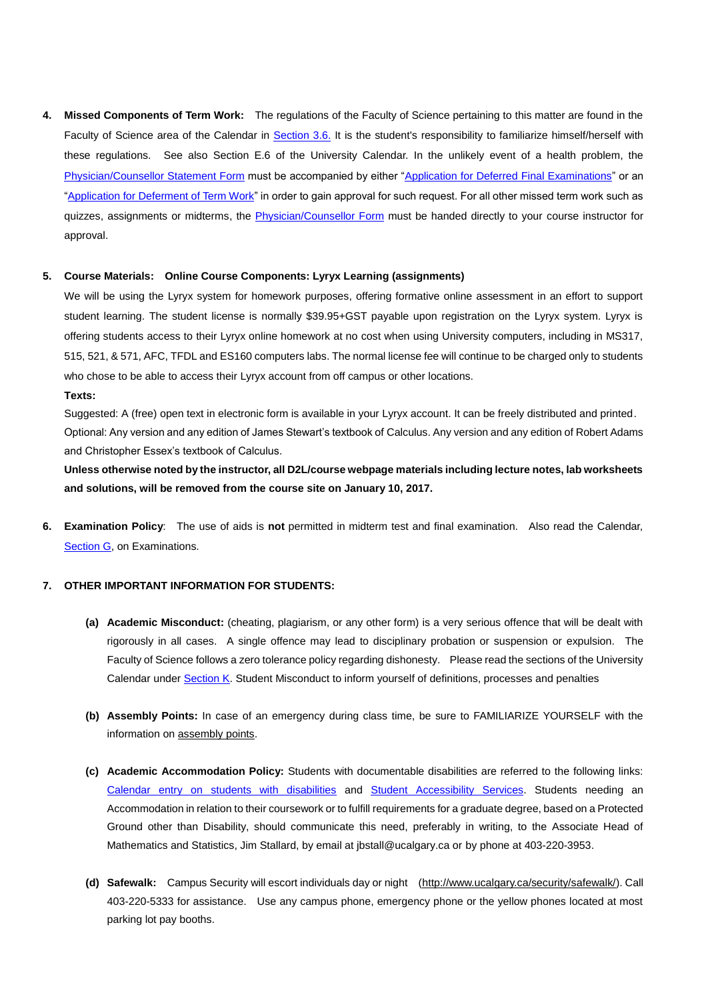**4. Missed Components of Term Work:** The regulations of the Faculty of Science pertaining to this matter are found in the Faculty of Science area of the Calendar in [Section 3.6.](http://www.ucalgary.ca/pubs/calendar/current/sc-3-6.html) It is the student's responsibility to familiarize himself/herself with these regulations. See also [Section E.6](http://www.ucalgary.ca/pubs/calendar/current/e-6.html) of the University Calendar. In the unlikely event of a health problem, the [Physician/Counsellor Statement](http://www.ucalgary.ca/registrar/files/registrar/physcoun15.pdf) Form must be accompanied by either ["Application for Deferred Final Examinations"](https://www.ucalgary.ca/registrar/files/registrar/dfe-application-f15.pdf) or an ["Application for Deferment of Term Work"](http://www.ucalgary.ca/registrar/files/registrar/deferred_termwork15.pdf) in order to gain approval for such request. For all other missed term work such as quizzes, assignments or midterms, the [Physician/Counsellor Form](http://www.ucalgary.ca/registrar/files/registrar/physcoun15.pdf) must be handed directly to your course instructor for approval.

#### **5. Course Materials: Online Course Components: Lyryx Learning (assignments)**

We will be using the Lyryx system for homework purposes, offering formative online assessment in an effort to support student learning. The student license is normally \$39.95+GST payable upon registration on the Lyryx system. Lyryx is offering students access to their Lyryx online homework at no cost when using University computers, including in MS317, 515, 521, & 571, AFC, TFDL and ES160 computers labs. The normal license fee will continue to be charged only to students who chose to be able to access their Lyryx account from off campus or other locations.

#### **Texts:**

Suggested: A (free) open text in electronic form is available in your Lyryx account. It can be freely distributed and printed. Optional: Any version and any edition of James Stewart's textbook of Calculus. Any version and any edition of Robert Adams and Christopher Essex's textbook of Calculus.

**Unless otherwise noted by the instructor, all D2L/course webpage materials including lecture notes, lab worksheets and solutions, will be removed from the course site on January 10, 2017.**

**6. Examination Policy**: The use of aids is **not** permitted in midterm test and final examination. Also read the Calendar, [Section G,](http://www.ucalgary.ca/pubs/calendar/current/g.html) on Examinations.

### **7. OTHER IMPORTANT INFORMATION FOR STUDENTS:**

- **(a) Academic Misconduct:** (cheating, plagiarism, or any other form) is a very serious offence that will be dealt with rigorously in all cases. A single offence may lead to disciplinary probation or suspension or expulsion. The Faculty of Science follows a zero tolerance policy regarding dishonesty. Please read the sections of the University Calendar unde[r Section K.](http://www.ucalgary.ca/pubs/calendar/current/k.html) Student Misconduct to inform yourself of definitions, processes and penalties
- **(b) Assembly Points:** In case of an emergency during class time, be sure to FAMILIARIZE YOURSELF with the information o[n assembly points.](http://www.ucalgary.ca/emergencyplan/assemblypoints)
- **(c) Academic Accommodation Policy:** Students with documentable disabilities are referred to the following links: [Calendar entry on students with disabilities](http://www.ucalgary.ca/pubs/calendar/current/b-1.html) and [Student Accessibility Services.](http://www.ucalgary.ca/access/) Students needing an Accommodation in relation to their coursework or to fulfill requirements for a graduate degree, based on a Protected Ground other than Disability, should communicate this need, preferably in writing, to the Associate Head of Mathematics and Statistics, Jim Stallard, by email at jbstall@ucalgary.ca or by phone at 403-220-3953.
- **(d) Safewalk:** Campus Security will escort individuals day or night [\(http://www.ucalgary.ca/security/safewalk/\)](http://www.ucalgary.ca/security/safewalk/). Call 403-220-5333 for assistance. Use any campus phone, emergency phone or the yellow phones located at most parking lot pay booths.